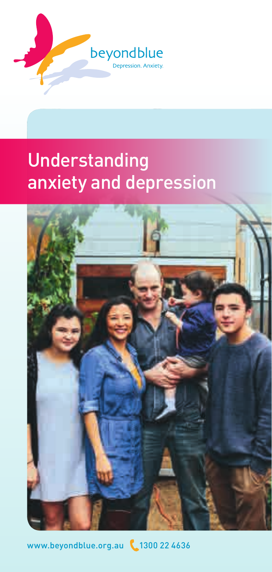

## Understanding anxiety and depression



[www.beyondblue.org.au](http://www.beyondblue.org.au) \1300 22 4636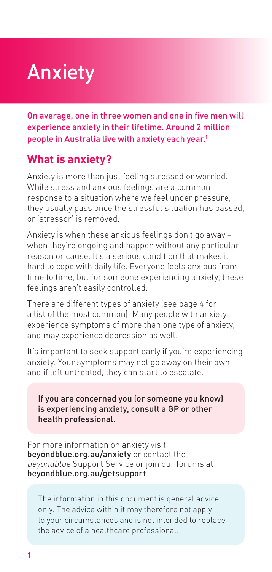# Anxiety

On average, one in three women and one in five men will experience anxiety in their lifetime. Around 2 million people in Australia live with anxiety each year.<sup>1</sup>

## **What is anxiety?**

Anxiety is more than just feeling stressed or worried. While stress and anxious feelings are a common response to a situation where we feel under pressure, they usually pass once the stressful situation has passed, or 'stressor' is removed.

Anxiety is when these anxious feelings don't go away – when they're ongoing and happen without any particular reason or cause. It's a serious condition that makes it hard to cope with daily life. Everyone feels anxious from time to time, but for someone experiencing anxiety, these feelings aren't easily controlled.

There are different types of anxiety (see page 4 for a list of the most common). Many people with anxiety experience symptoms of more than one type of anxiety, and may experience depression as well.

It's important to seek support early if you're experiencing anxiety. Your symptoms may not go away on their own and if left untreated, they can start to escalate.

If you are concerned you (or someone you know) is experiencing anxiety, consult a GP or other health professional.

For more information on anxiety visit [beyondblue.org.au/anxiety](http://beyondblue.org.au/anxiety) or contact the beyondblue Support Service or join our forums at [beyondblue.org.au/getsupport](http://www.beyondblue.org.au/getsupport)

The information in this document is general advice only. The advice within it may therefore not apply to your circumstances and is not intended to replace the advice of a healthcare professional.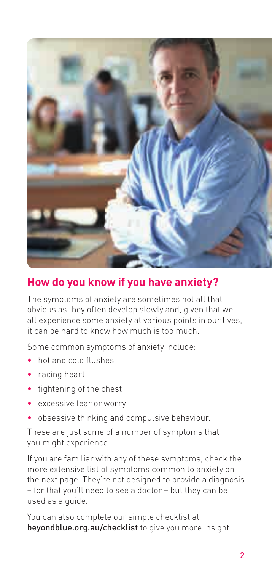

## **How do you know if you have anxiety?**

The symptoms of anxiety are sometimes not all that obvious as they often develop slowly and, given that we all experience some anxiety at various points in our lives, it can be hard to know how much is too much.

Some common symptoms of anxiety include:

- hot and cold flushes
- racing heart
- tightening of the chest
- excessive fear or worry
- obsessive thinking and compulsive behaviour.

These are just some of a number of symptoms that you might experience.

If you are familiar with any of these symptoms, check the more extensive list of symptoms common to anxiety on the next page. They're not designed to provide a diagnosis – for that you'll need to see a doctor – but they can be used as a guide.

You can also complete our simple checklist at bevondblue.org.au/checklist to give you more insight.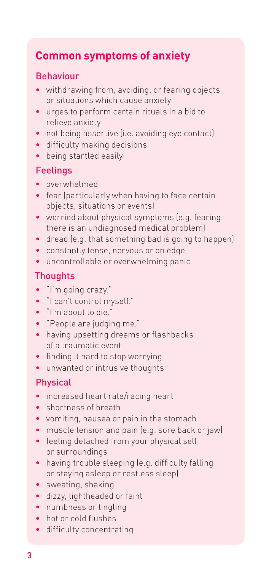## **Common symptoms of anxiety**

#### Behaviour

- withdrawing from, avoiding, or fearing objects or situations which cause anxiety
- urges to perform certain rituals in a bid to relieve anxiety
- not being assertive (i.e. avoiding eye contact)
- difficulty making decisions
- being startled easily

#### Feelings

- overwhelmed
- fear (particularly when having to face certain objects, situations or events)
- worried about physical symptoms (e.g. fearing there is an undiagnosed medical problem)
- dread (e.g. that something bad is going to happen)
- constantly tense, nervous or on edge
- uncontrollable or overwhelming panic

#### **Thoughts**

- "I'm going crazy."
- "I can't control myself."
- "I'm about to die."
- "People are judging me."
- having upsetting dreams or flashbacks of a traumatic event
- finding it hard to stop worrying
- unwanted or intrusive thoughts

#### Physical

- increased heart rate/racing heart
- shortness of breath
- vomiting, nausea or pain in the stomach
- muscle tension and pain (e.g. sore back or jaw)
- feeling detached from your physical self or surroundings
- having trouble sleeping (e.g. difficulty falling or staying asleep or restless sleep)
- sweating, shaking
- dizzy, lightheaded or faint
- numbness or tingling
- hot or cold flushes
- difficulty concentrating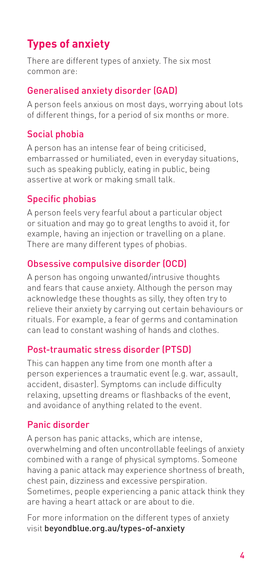## **Types of anxiety**

There are different types of anxiety. The six most common are:

### Generalised anxiety disorder (GAD)

A person feels anxious on most days, worrying about lots of different things, for a period of six months or more.

## Social phobia

A person has an intense fear of being criticised, embarrassed or humiliated, even in everyday situations, such as speaking publicly, eating in public, being assertive at work or making small talk.

## Specific phobias

A person feels very fearful about a particular object or situation and may go to great lengths to avoid it, for example, having an injection or travelling on a plane. There are many different types of phobias.

## Obsessive compulsive disorder (OCD)

A person has ongoing unwanted/intrusive thoughts and fears that cause anxiety. Although the person may acknowledge these thoughts as silly, they often try to relieve their anxiety by carrying out certain behaviours or rituals. For example, a fear of germs and contamination can lead to constant washing of hands and clothes.

#### Post-traumatic stress disorder (PTSD)

This can happen any time from one month after a person experiences a traumatic event (e.g. war, assault, accident, disaster). Symptoms can include difficulty relaxing, upsetting dreams or flashbacks of the event, and avoidance of anything related to the event.

## Panic disorder

A person has panic attacks, which are intense, overwhelming and often uncontrollable feelings of anxiety combined with a range of physical symptoms. Someone having a panic attack may experience shortness of breath, chest pain, dizziness and excessive perspiration. Sometimes, people experiencing a panic attack think they are having a heart attack or are about to die.

For more information on the different types of anxiety visit [beyondblue.org.au/types-of-anxiety](http://beyondblue.org.au/types-of-anxiety)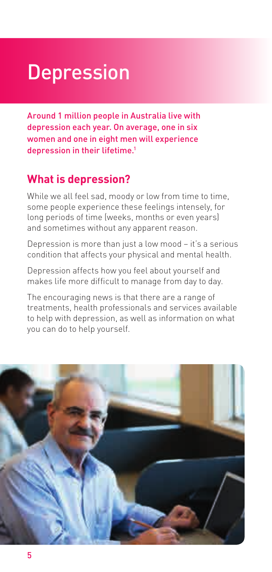# **Depression**

Around 1 million people in Australia live with depression each year. On average, one in six women and one in eight men will experience depression in their lifetime.<sup>1</sup>

## **What is depression?**

While we all feel sad, moody or low from time to time, some people experience these feelings intensely, for long periods of time (weeks, months or even years) and sometimes without any apparent reason.

Depression is more than just a low mood – it's a serious condition that affects your physical and mental health.

Depression affects how you feel about yourself and makes life more difficult to manage from day to day.

The encouraging news is that there are a range of treatments, health professionals and services available to help with depression, as well as information on what you can do to help yourself.

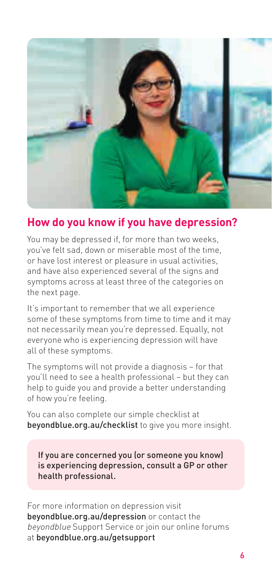

## **How do you know if you have depression?**

You may be depressed if, for more than two weeks, you've felt sad, down or miserable most of the time, or have lost interest or pleasure in usual activities, and have also experienced several of the signs and symptoms across at least three of the categories on the next page.

It's important to remember that we all experience some of these symptoms from time to time and it may not necessarily mean you're depressed. Equally, not everyone who is experiencing depression will have all of these symptoms.

The symptoms will not provide a diagnosis – for that you'll need to see a health professional – but they can help to guide you and provide a better understanding of how you're feeling.

You can also complete our simple checklist at [beyondblue.org.au/checklist](http://beyondblue.org.au/checklist) to give you more insight.

If you are concerned you (or someone you know) is experiencing depression, consult a GP or other health professional.

For more information on depression visit [beyondblue.org.au/depression](http://beyondblue.org.au/depression) or contact the beyondblue Support Service or join our online forums at [beyondblue.org.au/getsupport](http://beyondblue.org.au/getsupport)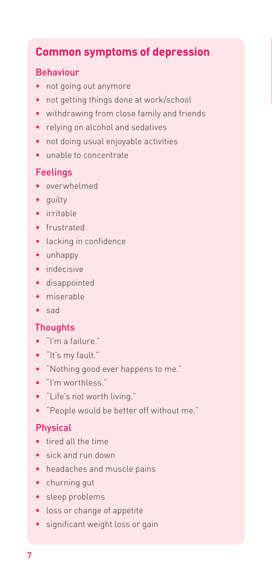## **Common symptoms of depression**

#### Behaviour

- not going out anymore
- not getting things done at work/school
- withdrawing from close family and friends
- relying on alcohol and sedatives
- not doing usual enjoyable activities
- unable to concentrate

## Feelings

- overwhelmed
- guilty
- irritable
- frustrated
- lacking in confidence
- unhappy
- indecisive
- disappointed
- miserable
- sad

#### **Thoughts**

- "I'm a failure."
- "It's my fault."
- "Nothing good ever happens to me."
- "I'm worthless."
- "Life's not worth living."
- "People would be better off without me."

#### Physical

- tired all the time
- sick and run down
- headaches and muscle pains
- churning gut
- sleep problems
- loss or change of appetite
- significant weight loss or gain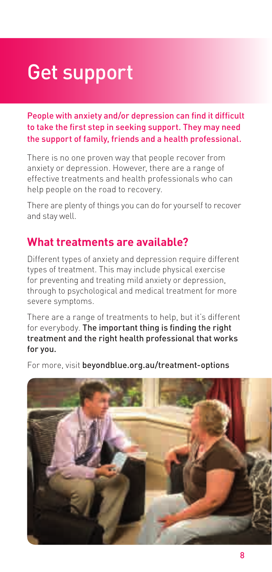# Get support

People with anxiety and/or depression can find it difficult to take the first step in seeking support. They may need the support of family, friends and a health professional.

There is no one proven way that people recover from anxiety or depression. However, there are a range of effective treatments and health professionals who can help people on the road to recovery.

There are plenty of things you can do for yourself to recover and stay well.

## **What treatments are available?**

Different types of anxiety and depression require different types of treatment. This may include physical exercise for preventing and treating mild anxiety or depression, through to psychological and medical treatment for more severe symptoms.

There are a range of treatments to help, but it's different for everybody. The important thing is finding the right treatment and the right health professional that works for you.

For more, visit [beyondblue.org.au/treatment-options](http://beyondblue.org.au/treatment-options)

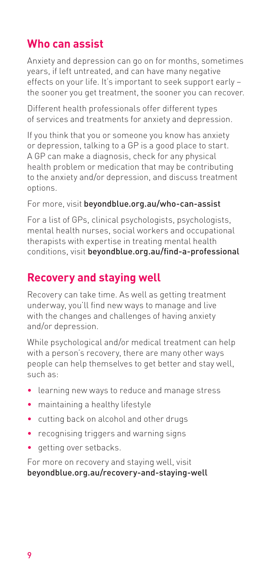## **Who can assist**

Anxiety and depression can go on for months, sometimes years, if left untreated, and can have many negative effects on your life. It's important to seek support early – the sooner you get treatment, the sooner you can recover.

Different health professionals offer different types of services and treatments for anxiety and depression.

If you think that you or someone you know has anxiety or depression, talking to a GP is a good place to start. A GP can make a diagnosis, check for any physical health problem or medication that may be contributing to the anxiety and/or depression, and discuss treatment options.

For more, visit [beyondblue.org.au/who-can-assist](http://www.beyondblue.org.au/who-can-assist )

For a list of GPs, clinical psychologists, psychologists, mental health nurses, social workers and occupational therapists with expertise in treating mental health conditions, visit [beyondblue.org.au/find-a-professional](http://www.beyondblue.org.au/find-a-professional)

## **Recovery and staying well**

Recovery can take time. As well as getting treatment underway, you'll find new ways to manage and live with the changes and challenges of having anxiety and/or depression.

While psychological and/or medical treatment can help with a person's recovery, there are many other ways people can help themselves to get better and stay well, such as:

- learning new ways to reduce and manage stress
- maintaining a healthy lifestyle
- cutting back on alcohol and other drugs
- recognising triggers and warning signs
- getting over setbacks.

For more on recovery and staying well, visit [beyondblue.org.au/recovery-and-staying-well](http://www.beyondblue.org.au/recovery-and-staying-well)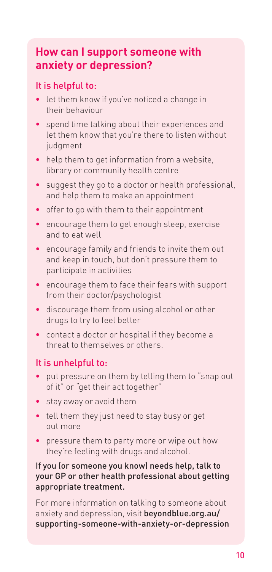## **How can I support someone with anxiety or depression?**

#### It is helpful to:

- let them know if you've noticed a change in their behaviour
- spend time talking about their experiences and let them know that you're there to listen without judgment
- help them to get information from a website, library or community health centre
- suggest they go to a doctor or health professional, and help them to make an appointment
- offer to go with them to their appointment
- encourage them to get enough sleep, exercise and to eat well
- encourage family and friends to invite them out and keep in touch, but don't pressure them to participate in activities
- encourage them to face their fears with support from their doctor/psychologist
- discourage them from using alcohol or other drugs to try to feel better
- contact a doctor or hospital if they become a threat to themselves or others.

#### It is unhelpful to:

- put pressure on them by telling them to "snap out of it" or "get their act together"
- stay away or avoid them
- tell them they just need to stay busy or get out more
- pressure them to party more or wipe out how they're feeling with drugs and alcohol.

#### If you (or someone you know) needs help, talk to your GP or other health professional about getting appropriate treatment.

For more information on talking to someone about anxiety and depression, visit [beyondblue.org.au/](http://www.beyondblue.org.au/supporting-someone-with-anxiety-or-depression) [supporting-someone-with-anxiety-or-d](http://www.beyondblue.org.au/supporting-someone-with-anxiety-or-depression)epression